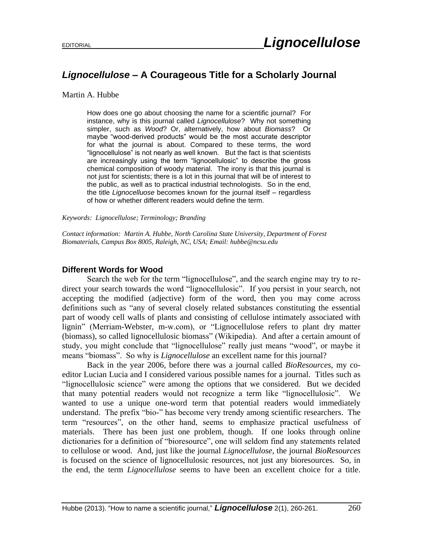## *Lignocellulose* **– A Courageous Title for a Scholarly Journal**

Martin A. Hubbe

How does one go about choosing the name for a scientific journal? For instance, why is this journal called *Lignocellulose*? Why not something simpler, such as *Wood*? Or, alternatively, how about *Biomass*? Or maybe "wood-derived products" would be the most accurate descriptor for what the journal is about. Compared to these terms, the word "lignocellulose" is not nearly as well known. But the fact is that scientists are increasingly using the term "lignocellulosic" to describe the gross chemical composition of woody material. The irony is that this journal is not just for scientists; there is a lot in this journal that will be of interest to the public, as well as to practical industrial technologists. So in the end, the title *Lignocelluose* becomes known for the journal itself – regardless of how or whether different readers would define the term.

*Keywords: Lignocellulose; Terminology; Branding*

*Contact information: Martin A. Hubbe, North Carolina State University, Department of Forest Biomaterials, Campus Box 8005, Raleigh, NC, USA; Email: hubbe@ncsu.edu*

## **Different Words for Wood**

Search the web for the term "lignocellulose", and the search engine may try to redirect your search towards the word "lignocellulosic". If you persist in your search, not accepting the modified (adjective) form of the word, then you may come across definitions such as "any of several closely related substances constituting the essential part of woody cell walls of plants and consisting of cellulose intimately associated with lignin" (Merriam-Webster, m-w.com), or "Lignocellulose refers to plant dry matter (biomass), so called lignocellulosic biomass" (Wikipedia). And after a certain amount of study, you might conclude that "lignocellulose" really just means "wood", or maybe it means "biomass". So why is *Lignocellulose* an excellent name for this journal?

Back in the year 2006, before there was a journal called *BioResources*, my coeditor Lucian Lucia and I considered various possible names for a journal. Titles such as "lignocellulosic science" were among the options that we considered. But we decided that many potential readers would not recognize a term like "lignocellulosic". We wanted to use a unique one-word term that potential readers would immediately understand. The prefix "bio-" has become very trendy among scientific researchers. The term "resources", on the other hand, seems to emphasize practical usefulness of materials. There has been just one problem, though. If one looks through online dictionaries for a definition of "bioresource", one will seldom find any statements related to cellulose or wood. And, just like the journal *Lignocellulose*, the journal *BioResources* is focused on the science of lignocellulosic resources, not just any bioresources. So, in the end, the term *Lignocellulose* seems to have been an excellent choice for a title.